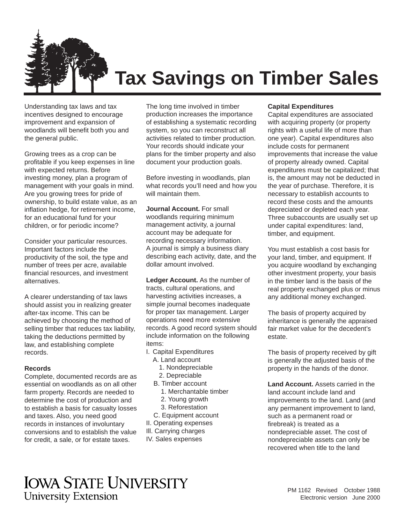

# **Tax Savings on Timber Sales**

Understanding tax laws and tax incentives designed to encourage improvement and expansion of woodlands will benefit both you and the general public.

Growing trees as a crop can be profitable if you keep expenses in line with expected returns. Before investing money, plan a program of management with your goals in mind. Are you growing trees for pride of ownership, to build estate value, as an inflation hedge, for retirement income, for an educational fund for your children, or for periodic income?

Consider your particular resources. Important factors include the productivity of the soil, the type and number of trees per acre, available financial resources, and investment alternatives.

A clearer understanding of tax laws should assist you in realizing greater after-tax income. This can be achieved by choosing the method of selling timber that reduces tax liability, taking the deductions permitted by law, and establishing complete records.

#### **Records**

Complete, documented records are as essential on woodlands as on all other farm property. Records are needed to determine the cost of production and to establish a basis for casualty losses and taxes. Also, you need good records in instances of involuntary conversions and to establish the value for credit, a sale, or for estate taxes.

The long time involved in timber production increases the importance of establishing a systematic recording system, so you can reconstruct all activities related to timber production. Your records should indicate your plans for the timber property and also document your production goals.

Before investing in woodlands, plan what records you'll need and how you will maintain them.

**Journal Account.** For small woodlands requiring minimum management activity, a journal account may be adequate for recording necessary information. A journal is simply a business diary describing each activity, date, and the dollar amount involved.

Ledger Account. As the number of tracts, cultural operations, and harvesting activities increases, a simple journal becomes inadequate for proper tax management. Larger operations need more extensive records. A good record system should include information on the following items:

- I. Capital Expenditures
	- A. Land account
	- 1. Nondepreciable
	- 2. Depreciable
	- B. Timber account
		- 1. Merchantable timber
		- 2. Young growth 3. Reforestation
	-
	- C. Equipment account
- II. Operating expenses Ill. Carrying charges
- IV. Sales expenses

# **Capital Expenditures**

Capital expenditures are associated with acquiring property (or property rights with a useful life of more than one year). Capital expenditures also include costs for permanent improvements that increase the value of property already owned. Capital expenditures must be capitalized; that is, the amount may not be deducted in the year of purchase. Therefore, it is necessary to establish accounts to record these costs and the amounts depreciated or depleted each year. Three subaccounts are usually set up under capital expenditures: land, timber, and equipment.

You must establish a cost basis for your land, timber, and equipment. If you acquire woodland by exchanging other investment property, your basis in the timber land is the basis of the real property exchanged plus or minus any additional money exchanged.

The basis of property acquired by inheritance is generally the appraised fair market value for the decedent's estate.

The basis of property received by gift is generally the adjusted basis of the property in the hands of the donor.

**Land Account.** Assets carried in the land account include land and improvements to the land. Land (and any permanent improvement to land, such as a permanent road or firebreak) is treated as a nondepreciable asset. The cost of nondepreciable assets can only be recovered when title to the land

# **IOWA STATE UNIVERSITY University Extension**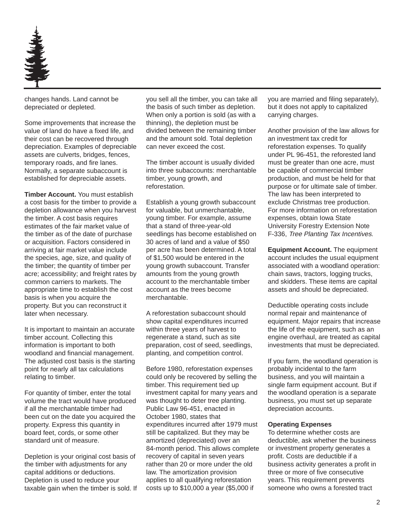

changes hands. Land cannot be depreciated or depleted.

Some improvements that increase the value of land do have a fixed life, and their cost can be recovered through depreciation. Examples of depreciable assets are culverts, bridges, fences, temporary roads, and fire lanes. Normally, a separate subaccount is established for depreciable assets.

**Timber Account.** You must establish a cost basis for the timber to provide a depletion allowance when you harvest the timber. A cost basis requires estimates of the fair market value of the timber as of the date of purchase or acquisition. Factors considered in arriving at fair market value include the species, age, size, and quality of the timber; the quantity of timber per acre; accessibility; and freight rates by common carriers to markets. The appropriate time to establish the cost basis is when you acquire the property. But you can reconstruct it later when necessary.

It is important to maintain an accurate timber account. Collecting this information is important to both woodland and financial management. The adjusted cost basis is the starting point for nearly all tax calculations relating to timber.

For quantity of timber, enter the total volume the tract would have produced if all the merchantable timber had been cut on the date you acquired the property. Express this quantity in board feet, cords, or some other standard unit of measure.

Depletion is your original cost basis of the timber with adjustments for any capital additions or deductions. Depletion is used to reduce your taxable gain when the timber is sold. If you sell all the timber, you can take all the basis of such timber as depletion. When only a portion is sold (as with a thinning), the depletion must be divided between the remaining timber and the amount sold. Total depletion can never exceed the cost.

The timber account is usually divided into three subaccounts: merchantable timber, young growth, and reforestation.

Establish a young growth subaccount for valuable, but unmerchantable, young timber. For example, assume that a stand of three-year-old seedlings has become established on 30 acres of land and a value of \$50 per acre has been determined. A total of \$1,500 would be entered in the young growth subaccount. Transfer amounts from the young growth account to the merchantable timber account as the trees become merchantable.

A reforestation subaccount should show capital expenditures incurred within three years of harvest to regenerate a stand, such as site preparation, cost of seed, seedlings, planting, and competition control.

Before 1980, reforestation expenses could only be recovered by selling the timber. This requirement tied up investment capital for many years and was thought to deter tree planting. Public Law 96-451, enacted in October 1980, states that expenditures incurred after 1979 must still be capitalized. But they may be amortized (depreciated) over an 84-month period. This allows complete recovery of capital in seven years rather than 20 or more under the old law. The amortization provision applies to all qualifying reforestation costs up to \$10,000 a year (\$5,000 if

you are married and filing separately), but it does not apply to capitalized carrying charges.

Another provision of the law allows for an investment tax credit for reforestation expenses. To qualify under PL 96-451, the reforested land must be greater than one acre, must be capable of commercial timber production, and must be held for that purpose or for ultimate sale of timber. The law has been interpreted to exclude Christmas tree production. For more information on reforestation expenses, obtain Iowa State University Forestry Extension Note F-336, Tree Planting Tax Incentives.

**Equipment Account.** The equipment account includes the usual equipment associated with a woodland operation: chain saws, tractors, logging trucks, and skidders. These items are capital assets and should be depreciated.

Deductible operating costs include normal repair and maintenance of equipment. Major repairs that increase the life of the equipment, such as an engine overhaul, are treated as capital investments that must be depreciated.

If you farm, the woodland operation is probably incidental to the farm business, and you will maintain a single farm equipment account. But if the woodland operation is a separate business, you must set up separate depreciation accounts.

#### **Operating Expenses**

To determine whether costs are deductible, ask whether the business or investment property generates a profit. Costs are deductible if a business activity generates a profit in three or more of five consecutive years. This requirement prevents someone who owns a forested tract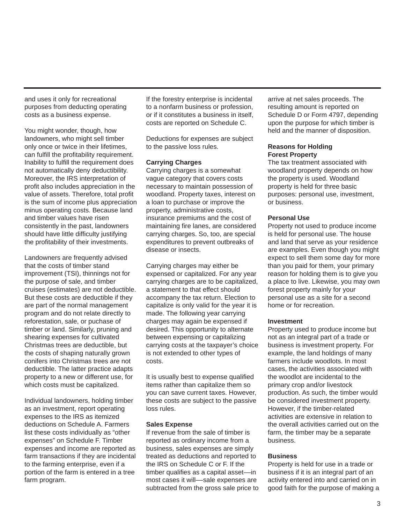and uses it only for recreational purposes from deducting operating costs as a business expense.

You might wonder, though, how landowners, who might sell timber only once or twice in their lifetimes, can fulfill the profitability requirement. Inability to fulfill the requirement does not automatically deny deductibility. Moreover, the IRS interpretation of profit also includes appreciation in the value of assets. Therefore, total profit is the sum of income plus appreciation minus operating costs. Because land and timber values have risen consistently in the past, landowners should have little difficulty justifying the profitability of their investments.

Landowners are frequently advised that the costs of timber stand improvement (TSI), thinnings not for the purpose of sale, and timber cruises (estimates) are not deductible. But these costs are deductible if they are part of the normal management program and do not relate directly to reforestation, sale, or puchase of timber or land. Similarly, pruning and shearing expenses for cultivated Christmas trees are deductible, but the costs of shaping naturally grown conifers into Christmas trees are not deductible. The latter practice adapts property to a new or different use, for which costs must be capitalized.

Individual landowners, holding timber as an investment, report operating expenses to the IRS as itemized deductions on Schedule A. Farmers list these costs individually as "other expenses" on Schedule F. Timber expenses and income are reported as farm transactions if they are incidental to the farming enterprise, even if a portion of the farm is entered in a tree farm program.

If the forestry enterprise is incidental to a nonfarm business or profession, or if it constitutes a business in itself, costs are reported on Schedule C.

Deductions for expenses are subject to the passive loss rules.

# **Carrying Charges**

Carrying charges is a somewhat vague category that covers costs necessary to maintain possession of woodland. Property taxes, interest on a loan to purchase or improve the property, administrative costs, insurance premiums and the cost of maintaining fire lanes, are considered carrying charges. So, too, are special expenditures to prevent outbreaks of disease or insects.

Carrying charges may either be expensed or capitalized. For any year carrying charges are to be capitalized, a statement to that effect should accompany the tax return. Election to capitalize is only valid for the year it is made. The following year carrying charges may again be expensed if desired. This opportunity to alternate between expensing or capitalizing carrying costs at the taxpayer's choice is not extended to other types of costs.

It is usually best to expense qualified items rather than capitalize them so you can save current taxes. However, these costs are subject to the passive loss rules.

#### **Sales Expense**

If revenue from the sale of timber is reported as ordinary income from a business, sales expenses are simply treated as deductions and reported to the IRS on Schedule C or F. If the timber qualifies as a capital asset––in most cases it will––sale expenses are subtracted from the gross sale price to arrive at net sales proceeds. The resulting amount is reported on Schedule D or Form 4797, depending upon the purpose for which timber is held and the manner of disposition.

#### **Reasons for Holding Forest Property**

The tax treatment associated with woodland property depends on how the property is used. Woodland property is held for three basic purposes: personal use, investment, or business.

#### **Personal Use**

Property not used to produce income is held for personal use. The house and land that serve as your residence are examples. Even though you might expect to sell them some day for more than you paid for them, your primary reason for holding them is to give you a place to live. Likewise, you may own forest property mainly for your personal use as a site for a second home or for recreation.

#### **Investment**

Property used to produce income but not as an integral part of a trade or business is investment property. For example, the land holdings of many farmers include woodlots. In most cases, the activities associated with the woodlot are incidental to the primary crop and/or livestock production. As such, the timber would be considered investment property. However, if the timber-related activities are extensive in relation to the overall activities carried out on the farm, the timber may be a separate business.

# **Business**

Property is held for use in a trade or business if it is an integral part of an activity entered into and carried on in good faith for the purpose of making a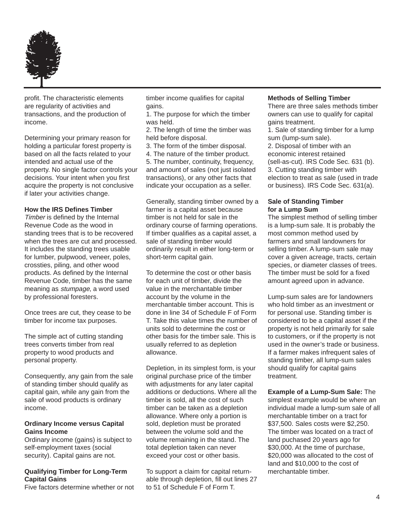

profit. The characteristic elements are regularity of activities and transactions, and the production of income.

Determining your primary reason for holding a particular forest property is based on all the facts related to your intended and actual use of the property. No single factor controls your decisions. Your intent when you first acquire the property is not conclusive if later your activities change.

#### **How the IRS Defines Timber**

Timber is defined by the Internal Revenue Code as the wood in standing trees that is to be recovered when the trees are cut and processed. It includes the standing trees usable for lumber, pulpwood, veneer, poles, crossties, piling, and other wood products. As defined by the Internal Revenue Code, timber has the same meaning as stumpage, a word used by professional foresters.

Once trees are cut, they cease to be timber for income tax purposes.

The simple act of cutting standing trees converts timber from real property to wood products and personal property.

Consequently, any gain from the sale of standing timber should qualify as capital gain, while any gain from the sale of wood products is ordinary income.

#### **Ordinary Income versus Capital Gains Income**

Ordinary income (gains) is subject to self-employment taxes (social security). Capital gains are not.

# **Qualifying Timber for Long-Term Capital Gains**

Five factors determine whether or not

timber income qualifies for capital gains.

1. The purpose for which the timber was held.

2. The length of time the timber was held before disposal.

3. The form of the timber disposal.

4. The nature of the timber product. 5. The number, continuity, frequency, and amount of sales (not just isolated transactions), or any other facts that indicate your occupation as a seller.

Generally, standing timber owned by a farmer is a capital asset because timber is not held for sale in the ordinary course of farming operations. If timber qualifies as a capital asset, a sale of standing timber would ordinarily result in either long-term or short-term capital gain.

To determine the cost or other basis for each unit of timber, divide the value in the merchantable timber account by the volume in the merchantable timber account. This is done in line 34 of Schedule F of Form T. Take this value times the number of units sold to determine the cost or other basis for the timber sale. This is usually referred to as depletion allowance.

Depletion, in its simplest form, is your original purchase price of the timber with adjustments for any later capital additions or deductions. Where all the timber is sold, all the cost of such timber can be taken as a depletion allowance. Where only a portion is sold, depletion must be prorated between the volume sold and the volume remaining in the stand. The total depletion taken can never exceed your cost or other basis.

To support a claim for capital returnable through depletion, fill out lines 27 to 51 of Schedule F of Form T.

#### **Methods of Selling Timber**

There are three sales methods timber owners can use to qualify for capital gains treatment.

1. Sale of standing timber for a lump sum (lump-sum sale).

2. Disposal of timber with an economic interest retained (sell-as-cut). IRS Code Sec. 631 (b). 3. Cutting standing timber with election to treat as sale (used in trade or business). IRS Code Sec. 631(a).

#### **Sale of Standing Timber for a Lump Sum**

The simplest method of selling timber is a lump-sum sale. It is probably the most common method used by farmers and small landowners for selling timber. A lump-sum sale may cover a given acreage, tracts, certain species, or diameter classes of trees. The timber must be sold for a fixed amount agreed upon in advance.

Lump-sum sales are for landowners who hold timber as an investment or for personal use. Standing timber is considered to be a capital asset if the property is not held primarily for sale to customers, or if the property is not used in the owner's trade or business. If a farmer makes infrequent sales of standing timber, all lump-sum sales should qualify for capital gains treatment.

**Example of a Lump-Sum Sale:** The simplest example would be where an individual made a lump-sum sale of all merchantable timber on a tract for \$37,500. Sales costs were \$2,250. The timber was located on a tract of land puchased 20 years ago for \$30,000. At the time of purchase, \$20,000 was allocated to the cost of land and \$10,000 to the cost of merchantable timber.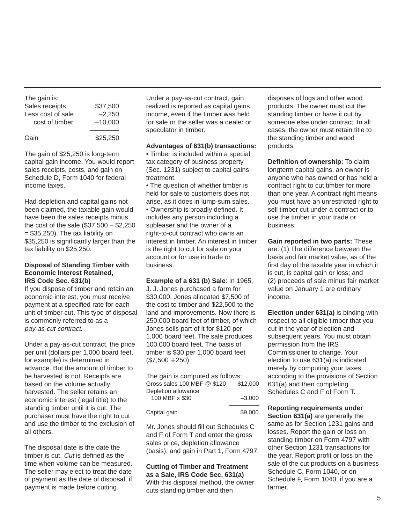The gain is: Sales receipts \$37,500 Less cost of sale  $-2,250$  cost of timber –10,000 –––––––– Gain \$25,250

The gain of \$25,250 is long-term capital gain income. You would report sales receipts, costs, and gain on Schedule D, Form 1040 for federal income taxes.

Had depletion and capital gains not been claimed, the taxable gain would have been the sales receipts minus the cost of the sale (\$37,500 – \$2,250  $= $35,250$ ). The tax liability on \$35,250 is significantly larger than the tax liability on \$25,250.

#### **Disposal of Standing Timber with Economic Interest Retained, IRS Code Sec. 631(b)**

If you dispose of timber and retain an economic interest, you must receive payment at a specified rate for each unit of timber cut. This type of disposal is commonly referred to as a pay-as-cut contract.

Under a pay-as-cut contract, the price per unit (dollars per 1,000 board feet, for example) is determined in advance. But the amount of timber to be harvested is not. Receipts are based on the volume actually harvested. The seller retains an economic interest (legal title) to the standing timber until it is cut. The purchaser must have the right to cut and use the timber to the exclusion of all others.

The disposal date is the date the timber is cut. Cut is defined as the time when volume can be measured. The seller may elect to treat the date of payment as the date of disposal, if payment is made before cutting.

Under a pay-as-cut contract, gain realized is reported as capital gains income, even if the timber was held for sale or the seller was a dealer or speculator in timber.

# **Advantages of 631(b) transactions:**

• Timber is included within a special tax category of business property (Sec. 1231) subject to capital gains treatment.

• The question of whether timber is held for sale to customers does not arise, as it does in lump-sum sales. • Ownership is broadly defined. It includes any person including a subleaser and the owner of a right-to-cut contract who owns an interest in timber. An interest in timber is the right to cut for sale on your account or for use in trade or business.

**Example of a 631 (b) Sale**: In 1965, J. J. Jones purchased a farm for \$30,000. Jones allocated \$7,500 of the cost to timber and \$22,500 to the land and improvements. Now there is 250,000 board feet of timber, of which Jones sells part of it for \$120 per 1,000 board feet. The sale produces 100,000 board feet. The basis of timber is \$30 per 1,000 board feet  $($7,500 \div 250).$ 

| The gain is computed as follows: |          |
|----------------------------------|----------|
| Gross sales 100 MBF @ \$120      | \$12,000 |
| Depletion allowance              |          |
| 100 MBF x \$30                   | $-3.000$ |
|                                  |          |

Capital gain \$9,000

Mr. Jones should fill out Schedules C and F of Form T and enter the gross sales price, depletion allowance (basis), and gain in Part 1, Form 4797.

**Cutting of Timber and Treatment as a Sale, IRS Code Sec. 631(a)** With this disposal method, the owner cuts standing timber and then

disposes of logs and other wood products. The owner must cut the standing timber or have it cut by someone else under contract. In all cases, the owner must retain title to the standing timber and wood products.

**Definition of ownership:** To claim longterm capital gains, an owner is anyone who has owned or has held a contract right to cut timber for more than one year. A contract right means you must have an unrestricted right to sell timber cut under a contract or to use the timber in your trade or business.

**Gain reported in two parts:** These are: (1) The difference between the basis and fair market value, as of the first day of the taxable year in which it is cut, is capital gain or loss; and (2) proceeds of sale minus fair market value on January 1 are ordinary income.

**Election under 631(a)** is binding with respect to all eligible timber that you cut in the year of election and subsequent years. You must obtain permission from the IRS Commissioner to change. Your election to use 631(a) is indicated merely by computing your taxes according to the provisions of Section 631(a) and then completing Schedules C and F of Form T.

**Reporting requirements under Section 631(a)** are generally the same as for Section 1231 gains and losses. Report the gain or loss on standing timber on Form 4797 with other Section 1231 transactions for the year. Report profit or loss on the sale of the cut products on a business Schedule C, Form 1040, or on Schedule F, Form 1040, if you are a farmer.